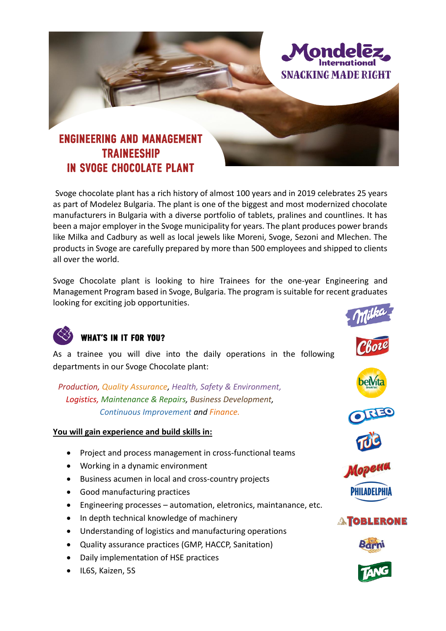

Svoge chocolate plant has a rich history of almost 100 years and in 2019 celebrates 25 years as part of Modelez Bulgaria. The plant is one of the biggest and most modernized chocolate manufacturers in Bulgaria with a diverse portfolio of tablets, pralines and countlines. It has been a major employer in the Svoge municipality for years. The plant produces power brands like Milka and Cadbury as well as local jewels like Moreni, Svoge, Sezoni and Mlechen. The products in Svoge are carefully prepared by more than 500 employees and shipped to clients all over the world.

Svoge Chocolate plant is looking to hire Trainees for the one-year Engineering and Management Program based in Svoge, Bulgaria. The program is suitable for recent graduates looking for exciting job opportunities.



### **WHAT'S IN IT FOR YOU?**

As a trainee you will dive into the daily operations in the following departments in our Svoge Chocolate plant:

*Production, Quality Assurance, Health, Safety & Environment, Logistics, Maintenance & Repairs, Business Development, Continuous Improvement and Finance.*

### **You will gain experience and build skills in:**

- Project and process management in cross-functional teams
- Working in a dynamic environment
- Business acumen in local and cross-country projects
- Good manufacturing practices
- Engineering processes automation, eletronics, maintanance, etc.
- In depth technical knowledge of machinery
- Understanding of logistics and manufacturing operations
- Quality assurance practices (GMP, HACCP, Sanitation)
- Daily implementation of HSE practices
- IL6S, Kaizen, 5S